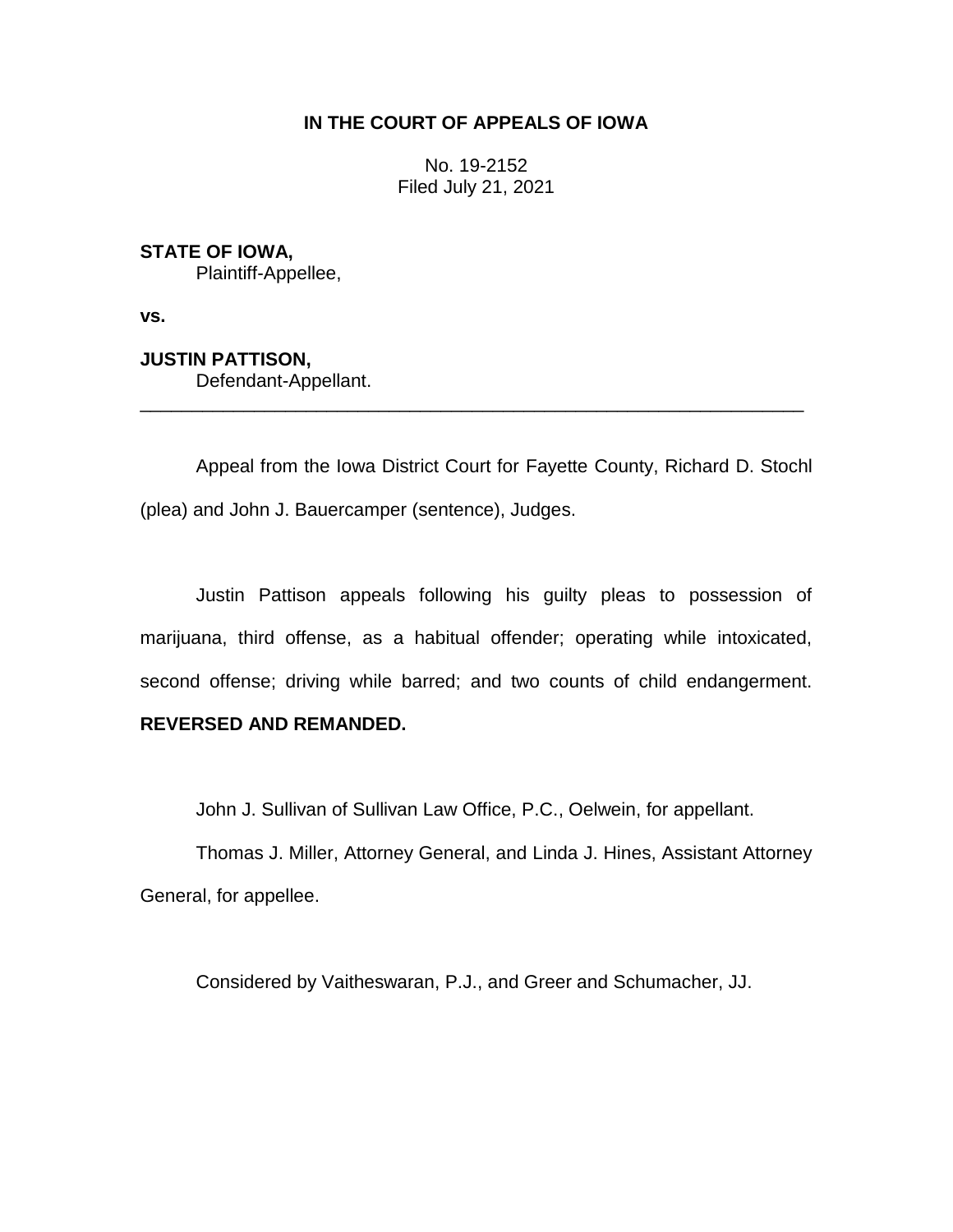# **IN THE COURT OF APPEALS OF IOWA**

No. 19-2152 Filed July 21, 2021

# **STATE OF IOWA,**

Plaintiff-Appellee,

**vs.**

#### **JUSTIN PATTISON,** Defendant-Appellant.

Appeal from the Iowa District Court for Fayette County, Richard D. Stochl (plea) and John J. Bauercamper (sentence), Judges.

\_\_\_\_\_\_\_\_\_\_\_\_\_\_\_\_\_\_\_\_\_\_\_\_\_\_\_\_\_\_\_\_\_\_\_\_\_\_\_\_\_\_\_\_\_\_\_\_\_\_\_\_\_\_\_\_\_\_\_\_\_\_\_\_

Justin Pattison appeals following his guilty pleas to possession of marijuana, third offense, as a habitual offender; operating while intoxicated, second offense; driving while barred; and two counts of child endangerment.

## **REVERSED AND REMANDED.**

John J. Sullivan of Sullivan Law Office, P.C., Oelwein, for appellant.

Thomas J. Miller, Attorney General, and Linda J. Hines, Assistant Attorney General, for appellee.

Considered by Vaitheswaran, P.J., and Greer and Schumacher, JJ.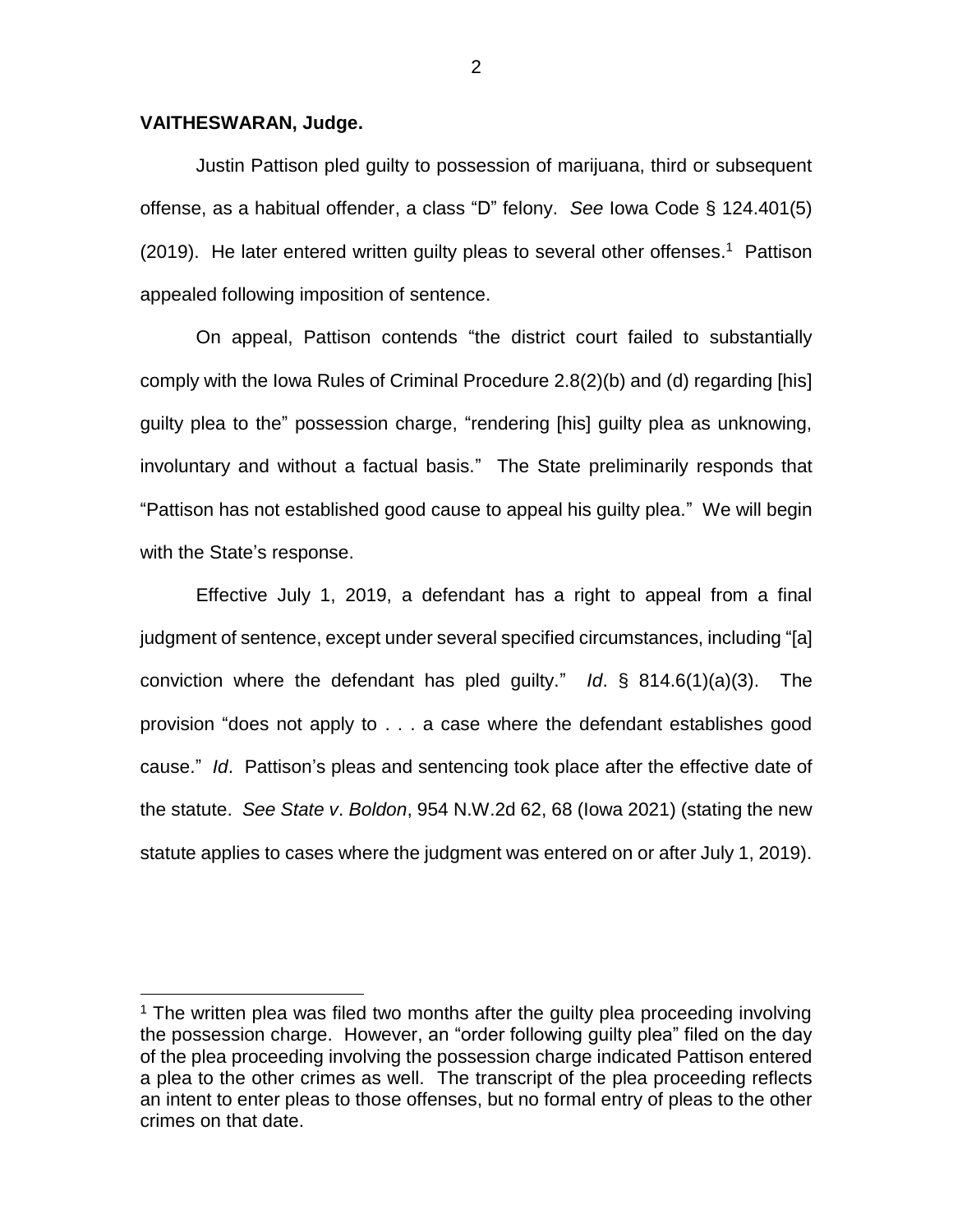#### **VAITHESWARAN, Judge.**

 $\overline{a}$ 

Justin Pattison pled guilty to possession of marijuana, third or subsequent offense, as a habitual offender, a class "D" felony. *See* Iowa Code § 124.401(5) (2019). He later entered written guilty pleas to several other offenses.<sup>1</sup> Pattison appealed following imposition of sentence.

On appeal, Pattison contends "the district court failed to substantially comply with the Iowa Rules of Criminal Procedure 2.8(2)(b) and (d) regarding [his] guilty plea to the" possession charge, "rendering [his] guilty plea as unknowing, involuntary and without a factual basis." The State preliminarily responds that "Pattison has not established good cause to appeal his guilty plea." We will begin with the State's response.

Effective July 1, 2019, a defendant has a right to appeal from a final judgment of sentence, except under several specified circumstances, including "[a] conviction where the defendant has pled guilty." *Id*. § 814.6(1)(a)(3). The provision "does not apply to . . . a case where the defendant establishes good cause." *Id*. Pattison's pleas and sentencing took place after the effective date of the statute. *See State v*. *Boldon*, 954 N.W.2d 62, 68 (Iowa 2021) (stating the new statute applies to cases where the judgment was entered on or after July 1, 2019).

<sup>&</sup>lt;sup>1</sup> The written plea was filed two months after the quilty plea proceeding involving the possession charge. However, an "order following guilty plea" filed on the day of the plea proceeding involving the possession charge indicated Pattison entered a plea to the other crimes as well. The transcript of the plea proceeding reflects an intent to enter pleas to those offenses, but no formal entry of pleas to the other crimes on that date.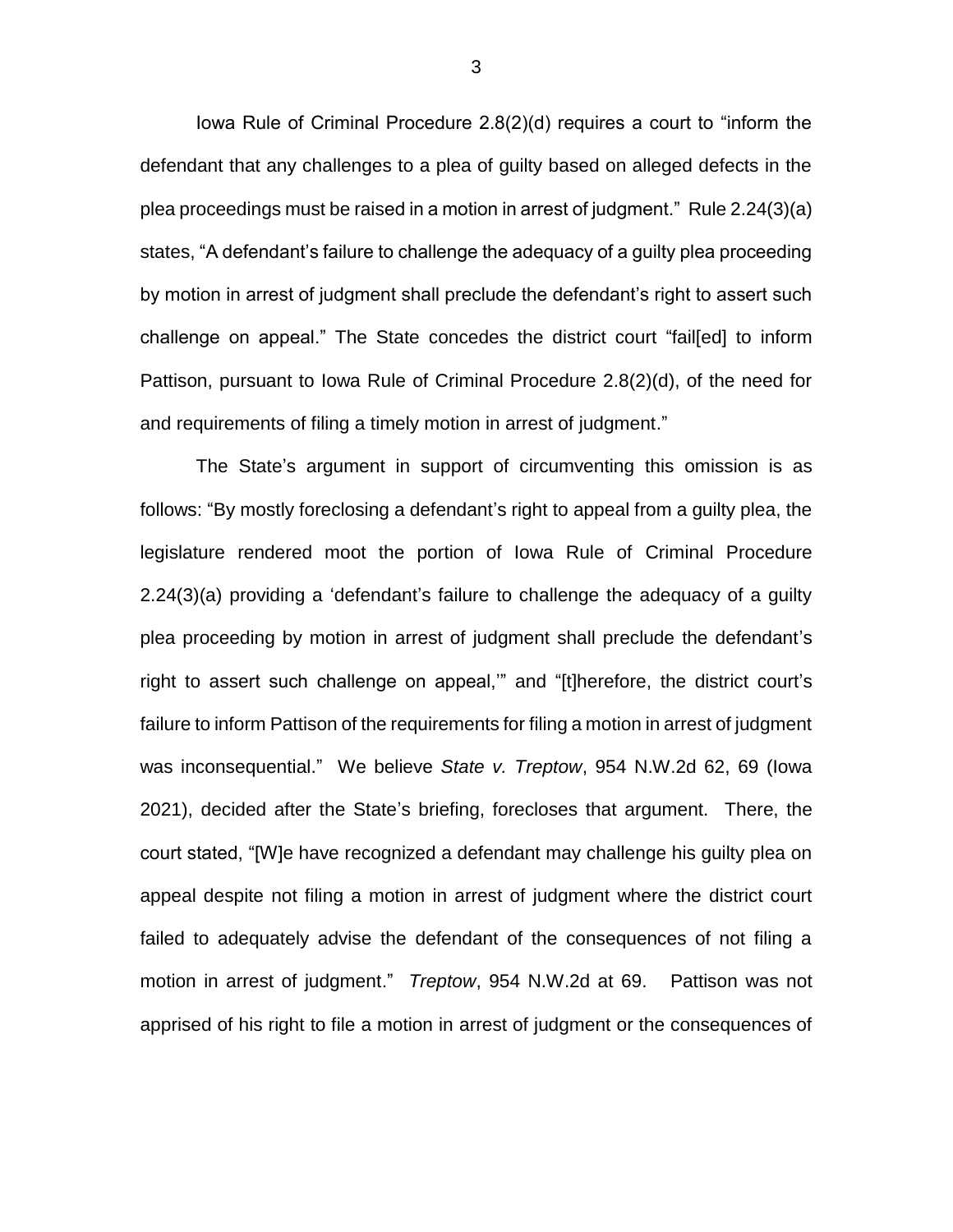Iowa Rule of Criminal Procedure 2.8(2)(d) requires a court to "inform the defendant that any challenges to a plea of guilty based on alleged defects in the plea proceedings must be raised in a motion in arrest of judgment." Rule 2.24(3)(a) states, "A defendant's failure to challenge the adequacy of a guilty plea proceeding by motion in arrest of judgment shall preclude the defendant's right to assert such challenge on appeal." The State concedes the district court "fail[ed] to inform Pattison, pursuant to Iowa Rule of Criminal Procedure 2.8(2)(d), of the need for and requirements of filing a timely motion in arrest of judgment."

The State's argument in support of circumventing this omission is as follows: "By mostly foreclosing a defendant's right to appeal from a guilty plea, the legislature rendered moot the portion of Iowa Rule of Criminal Procedure 2.24(3)(a) providing a 'defendant's failure to challenge the adequacy of a guilty plea proceeding by motion in arrest of judgment shall preclude the defendant's right to assert such challenge on appeal,'" and "[t]herefore, the district court's failure to inform Pattison of the requirements for filing a motion in arrest of judgment was inconsequential." We believe *State v. Treptow*, 954 N.W.2d 62, 69 (Iowa 2021), decided after the State's briefing, forecloses that argument. There, the court stated, "[W]e have recognized a defendant may challenge his guilty plea on appeal despite not filing a motion in arrest of judgment where the district court failed to adequately advise the defendant of the consequences of not filing a motion in arrest of judgment." *Treptow*, 954 N.W.2d at 69. Pattison was not apprised of his right to file a motion in arrest of judgment or the consequences of

3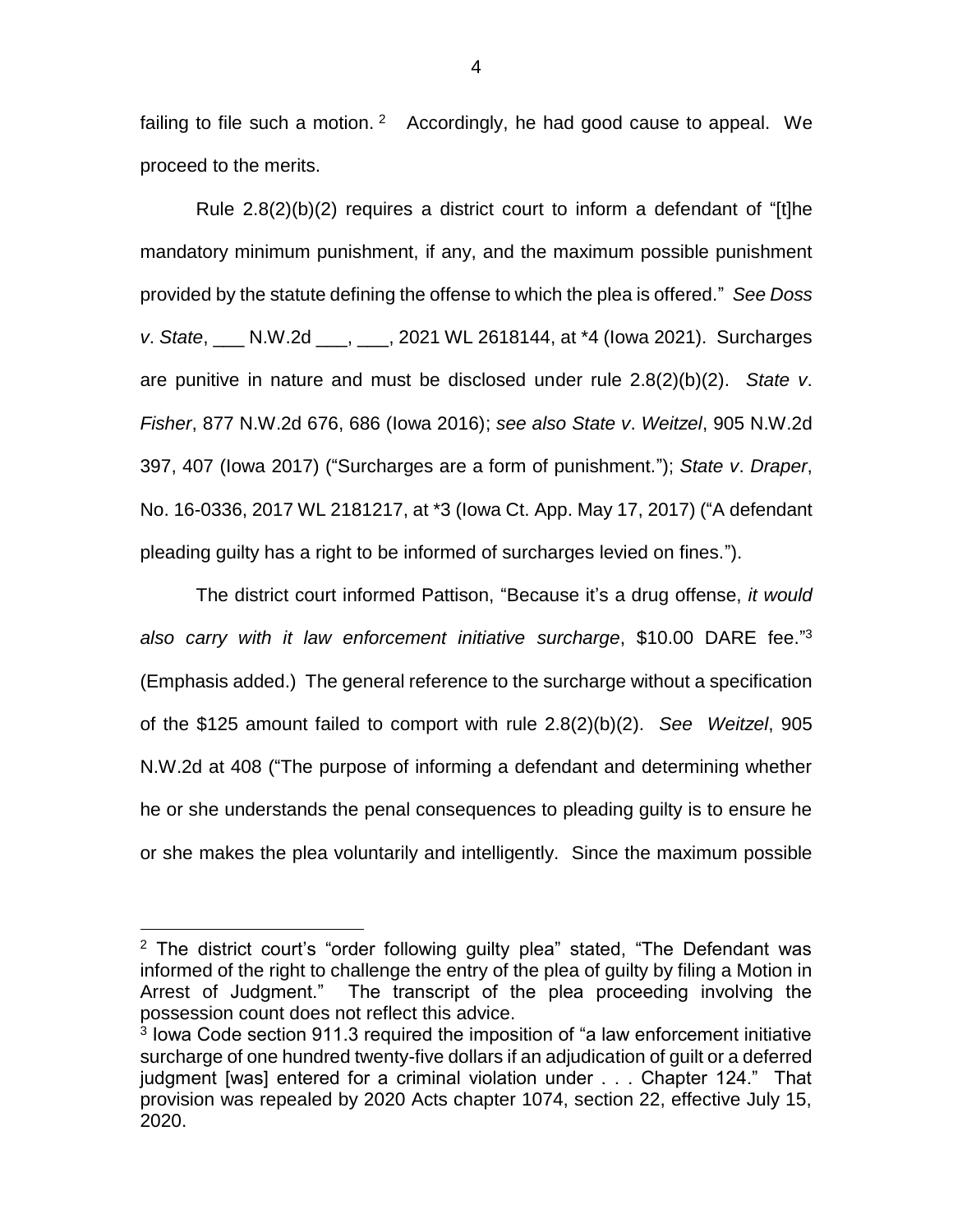failing to file such a motion.  $2$  Accordingly, he had good cause to appeal. We proceed to the merits.

Rule 2.8(2)(b)(2) requires a district court to inform a defendant of "[t]he mandatory minimum punishment, if any, and the maximum possible punishment provided by the statute defining the offense to which the plea is offered." *See Doss v*. *State*, \_\_\_ N.W.2d \_\_\_, \_\_\_, 2021 WL 2618144, at \*4 (Iowa 2021). Surcharges are punitive in nature and must be disclosed under rule 2.8(2)(b)(2). *State v*. *Fisher*, 877 N.W.2d 676, 686 (Iowa 2016); *see also State v*. *Weitzel*, 905 N.W.2d 397, 407 (Iowa 2017) ("Surcharges are a form of punishment."); *State v*. *Draper*, No. 16-0336, 2017 WL 2181217, at \*3 (Iowa Ct. App. May 17, 2017) ("A defendant pleading guilty has a right to be informed of surcharges levied on fines.").

The district court informed Pattison, "Because it's a drug offense, *it would also carry with it law enforcement initiative surcharge*, \$10.00 DARE fee." 3 (Emphasis added.) The general reference to the surcharge without a specification of the \$125 amount failed to comport with rule 2.8(2)(b)(2). *See Weitzel*, 905 N.W.2d at 408 ("The purpose of informing a defendant and determining whether he or she understands the penal consequences to pleading guilty is to ensure he or she makes the plea voluntarily and intelligently. Since the maximum possible

 $\overline{a}$ 

 $2$  The district court's "order following guilty plea" stated, "The Defendant was informed of the right to challenge the entry of the plea of guilty by filing a Motion in<br>Arrest of Judgment." The transcript of the plea proceeding involving the The transcript of the plea proceeding involving the possession count does not reflect this advice.

<sup>&</sup>lt;sup>3</sup> lowa Code section 911.3 required the imposition of "a law enforcement initiative surcharge of one hundred twenty-five dollars if an adjudication of guilt or a deferred judgment [was] entered for a criminal violation under . . . Chapter 124." That provision was repealed by 2020 Acts chapter 1074, section 22, effective July 15, 2020.